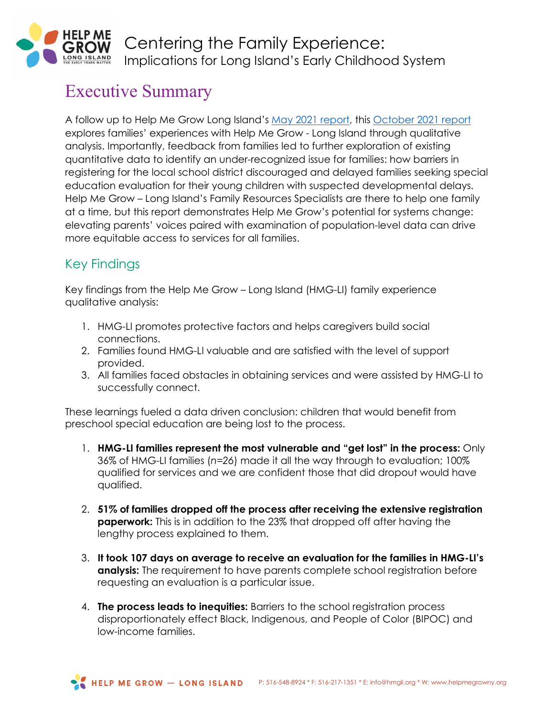

## Executive Summary

A follow up to Help Me Grow Long Island's [May 2021 report,](https://docsfortots.org/wp-content/uploads/2021/05/2021-HMG-LI-2nd-Annual-Report-2.pdf) this [October 2021 report](https://docsfortots.org/hmg-li-report-centering-the-family-experience/) explores families' experiences with Help Me Grow - Long Island through qualitative analysis. Importantly, feedback from families led to further exploration of existing quantitative data to identify an under-recognized issue for families: how barriers in registering for the local school district discouraged and delayed families seeking special education evaluation for their young children with suspected developmental delays. Help Me Grow – Long Island's Family Resources Specialists are there to help one family at a time, but this report demonstrates Help Me Grow's potential for systems change: elevating parents' voices paired with examination of population-level data can drive more equitable access to services for all families.

## Key Findings

Key findings from the Help Me Grow – Long Island (HMG-LI) family experience qualitative analysis:

- 1. HMG-LI promotes protective factors and helps caregivers build social connections.
- 2. Families found HMG-LI valuable and are satisfied with the level of support provided.
- 3. All families faced obstacles in obtaining services and were assisted by HMG-LI to successfully connect.

These learnings fueled a data driven conclusion: children that would benefit from preschool special education are being lost to the process.

- 1. **HMG-LI families represent the most vulnerable and "get lost" in the process:** Only 36% of HMG-LI families (*n=26*) made it all the way through to evaluation; 100% qualified for services and we are confident those that did dropout would have qualified.
- 2. **51% of families dropped off the process after receiving the extensive registration paperwork:** This is in addition to the 23% that dropped off after having the lengthy process explained to them.
- 3. **It took 107 days on average to receive an evaluation for the families in HMG-LI's analysis:** The requirement to have parents complete school registration before requesting an evaluation is a particular issue.
- 4. **The process leads to inequities:** Barriers to the school registration process disproportionately effect Black, Indigenous, and People of Color (BIPOC) and low-income families.